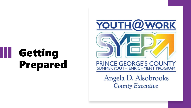

Angela D. Alsobrooks **County Executive**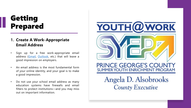### **1. Create A Work-Appropriate Email Address**

- Sign up for a free work-appropriate email address ([Gmail,](http://google.com/mail) [Outlook](https://outlook.live.com/owa/), etc.) that will leave a good impression on employers.
- An email address is the most fundamental form of your online identity, and your goal is to make a good impression.
- Do not use your school email address as many education systems have firewalls and email filters to protect institutions—and you may miss out on important information.

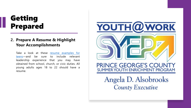### **2. Prepare A Resume & Highlight Your Accomplishments**

Take a look at these resume examples for [teens—and](https://www.indeed.com/career-advice/resumes-cover-letters/resume-examples-for-teens) be sure to include relevant leadership experience that you may have obtained from school, church, or civic duties. All young adults ages 18 to 22 should have a resume.

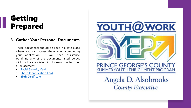#### **3. Gather Your Personal Documents**

These documents should be kept in a safe place where you can access them when completing your application. If you need assistance obtaining any of the documents listed below, click on the associated link to learn how to order a replacement:

- Social [Security](https://www.ssa.gov/myaccount/replacement-card.html) Card
- Photo [Identification](https://mva.maryland.gov/drivers/Pages/md-drivers-license.aspx) Card
- **Birth [Certificate](https://health.maryland.gov/vsa/Pages/birth.aspx)**

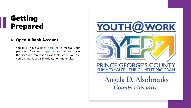#### **4. Open A Bank Account**

You must have a **bank [account](https://www.nerdwallet.com/best/banking/teen-checking-accounts)** to receive your paycheck. Be sure to open an account and have the account information available when you are completing your SYEP orientation materials.

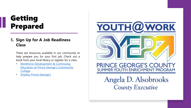### **5. Sign Up for A Job Readiness Class**

There are resources available in our community to help prepare you for your first job. Check out a book from your local library or register for a class.

- **Workforce Development & Continuing** [Education at Prince George's Community](https://www.pgcc.edu/programs-courses/workforce-development-and-continuing-education/) College
- [Employ Prince George's](https://www.employpg.org/)



**County Executive**